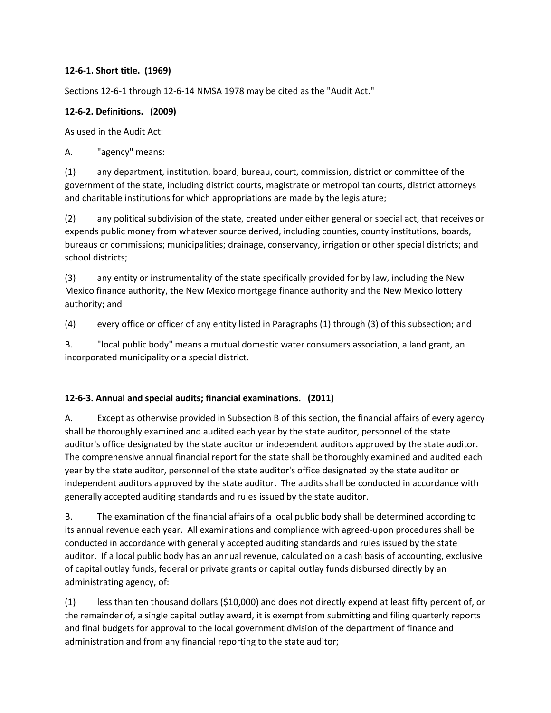#### **12-6-1. Short title. (1969)**

Sections 12-6-1 through 12-6-14 NMSA 1978 may be cited as the "Audit Act."

### **12-6-2. Definitions. (2009)**

As used in the Audit Act:

A. "agency" means:

(1) any department, institution, board, bureau, court, commission, district or committee of the government of the state, including district courts, magistrate or metropolitan courts, district attorneys and charitable institutions for which appropriations are made by the legislature;

(2) any political subdivision of the state, created under either general or special act, that receives or expends public money from whatever source derived, including counties, county institutions, boards, bureaus or commissions; municipalities; drainage, conservancy, irrigation or other special districts; and school districts;

(3) any entity or instrumentality of the state specifically provided for by law, including the New Mexico finance authority, the New Mexico mortgage finance authority and the New Mexico lottery authority; and

(4) every office or officer of any entity listed in Paragraphs (1) through (3) of this subsection; and

B. "local public body" means a mutual domestic water consumers association, a land grant, an incorporated municipality or a special district.

### **12-6-3. Annual and special audits; financial examinations. (2011)**

A. Except as otherwise provided in Subsection B of this section, the financial affairs of every agency shall be thoroughly examined and audited each year by the state auditor, personnel of the state auditor's office designated by the state auditor or independent auditors approved by the state auditor. The comprehensive annual financial report for the state shall be thoroughly examined and audited each year by the state auditor, personnel of the state auditor's office designated by the state auditor or independent auditors approved by the state auditor. The audits shall be conducted in accordance with generally accepted auditing standards and rules issued by the state auditor.

B. The examination of the financial affairs of a local public body shall be determined according to its annual revenue each year. All examinations and compliance with agreed-upon procedures shall be conducted in accordance with generally accepted auditing standards and rules issued by the state auditor. If a local public body has an annual revenue, calculated on a cash basis of accounting, exclusive of capital outlay funds, federal or private grants or capital outlay funds disbursed directly by an administrating agency, of:

(1) less than ten thousand dollars (\$10,000) and does not directly expend at least fifty percent of, or the remainder of, a single capital outlay award, it is exempt from submitting and filing quarterly reports and final budgets for approval to the local government division of the department of finance and administration and from any financial reporting to the state auditor;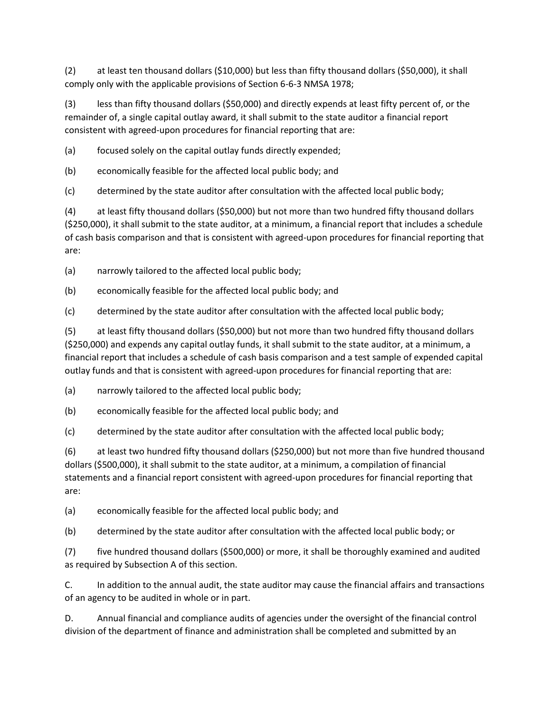(2) at least ten thousand dollars (\$10,000) but less than fifty thousand dollars (\$50,000), it shall comply only with the applicable provisions of Section 6-6-3 NMSA 1978;

(3) less than fifty thousand dollars (\$50,000) and directly expends at least fifty percent of, or the remainder of, a single capital outlay award, it shall submit to the state auditor a financial report consistent with agreed-upon procedures for financial reporting that are:

(a) focused solely on the capital outlay funds directly expended;

(b) economically feasible for the affected local public body; and

(c) determined by the state auditor after consultation with the affected local public body;

(4) at least fifty thousand dollars (\$50,000) but not more than two hundred fifty thousand dollars (\$250,000), it shall submit to the state auditor, at a minimum, a financial report that includes a schedule of cash basis comparison and that is consistent with agreed-upon procedures for financial reporting that are:

(a) narrowly tailored to the affected local public body;

(b) economically feasible for the affected local public body; and

(c) determined by the state auditor after consultation with the affected local public body;

(5) at least fifty thousand dollars (\$50,000) but not more than two hundred fifty thousand dollars (\$250,000) and expends any capital outlay funds, it shall submit to the state auditor, at a minimum, a financial report that includes a schedule of cash basis comparison and a test sample of expended capital outlay funds and that is consistent with agreed-upon procedures for financial reporting that are:

(a) narrowly tailored to the affected local public body;

(b) economically feasible for the affected local public body; and

(c) determined by the state auditor after consultation with the affected local public body;

(6) at least two hundred fifty thousand dollars (\$250,000) but not more than five hundred thousand dollars (\$500,000), it shall submit to the state auditor, at a minimum, a compilation of financial statements and a financial report consistent with agreed-upon procedures for financial reporting that are:

(a) economically feasible for the affected local public body; and

(b) determined by the state auditor after consultation with the affected local public body; or

(7) five hundred thousand dollars (\$500,000) or more, it shall be thoroughly examined and audited as required by Subsection A of this section.

C. In addition to the annual audit, the state auditor may cause the financial affairs and transactions of an agency to be audited in whole or in part.

D. Annual financial and compliance audits of agencies under the oversight of the financial control division of the department of finance and administration shall be completed and submitted by an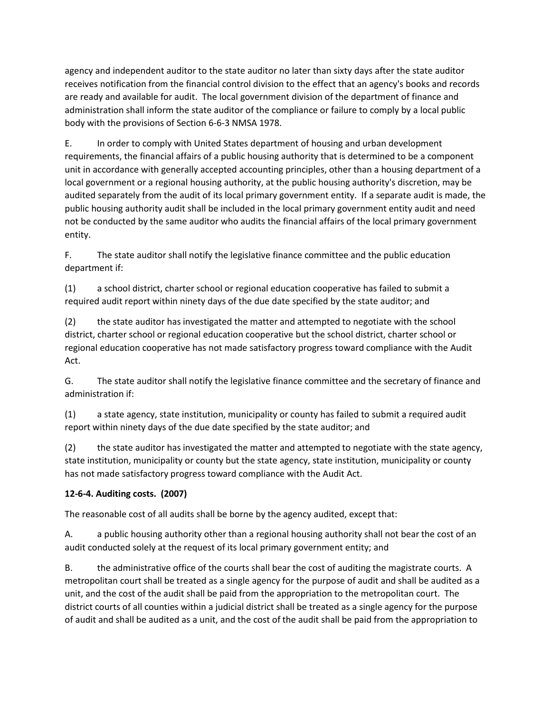agency and independent auditor to the state auditor no later than sixty days after the state auditor receives notification from the financial control division to the effect that an agency's books and records are ready and available for audit. The local government division of the department of finance and administration shall inform the state auditor of the compliance or failure to comply by a local public body with the provisions of Section 6-6-3 NMSA 1978.

E. In order to comply with United States department of housing and urban development requirements, the financial affairs of a public housing authority that is determined to be a component unit in accordance with generally accepted accounting principles, other than a housing department of a local government or a regional housing authority, at the public housing authority's discretion, may be audited separately from the audit of its local primary government entity. If a separate audit is made, the public housing authority audit shall be included in the local primary government entity audit and need not be conducted by the same auditor who audits the financial affairs of the local primary government entity.

F. The state auditor shall notify the legislative finance committee and the public education department if:

(1) a school district, charter school or regional education cooperative has failed to submit a required audit report within ninety days of the due date specified by the state auditor; and

(2) the state auditor has investigated the matter and attempted to negotiate with the school district, charter school or regional education cooperative but the school district, charter school or regional education cooperative has not made satisfactory progress toward compliance with the Audit Act.

G. The state auditor shall notify the legislative finance committee and the secretary of finance and administration if:

(1) a state agency, state institution, municipality or county has failed to submit a required audit report within ninety days of the due date specified by the state auditor; and

(2) the state auditor has investigated the matter and attempted to negotiate with the state agency, state institution, municipality or county but the state agency, state institution, municipality or county has not made satisfactory progress toward compliance with the Audit Act.

# **12-6-4. Auditing costs. (2007)**

The reasonable cost of all audits shall be borne by the agency audited, except that:

A. a public housing authority other than a regional housing authority shall not bear the cost of an audit conducted solely at the request of its local primary government entity; and

B. the administrative office of the courts shall bear the cost of auditing the magistrate courts. A metropolitan court shall be treated as a single agency for the purpose of audit and shall be audited as a unit, and the cost of the audit shall be paid from the appropriation to the metropolitan court. The district courts of all counties within a judicial district shall be treated as a single agency for the purpose of audit and shall be audited as a unit, and the cost of the audit shall be paid from the appropriation to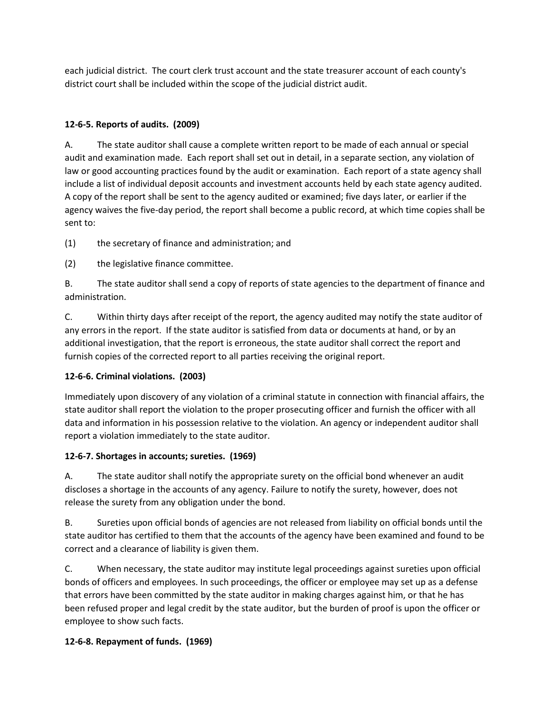each judicial district. The court clerk trust account and the state treasurer account of each county's district court shall be included within the scope of the judicial district audit.

## **12-6-5. Reports of audits. (2009)**

A. The state auditor shall cause a complete written report to be made of each annual or special audit and examination made. Each report shall set out in detail, in a separate section, any violation of law or good accounting practices found by the audit or examination. Each report of a state agency shall include a list of individual deposit accounts and investment accounts held by each state agency audited. A copy of the report shall be sent to the agency audited or examined; five days later, or earlier if the agency waives the five-day period, the report shall become a public record, at which time copies shall be sent to:

(1) the secretary of finance and administration; and

(2) the legislative finance committee.

B. The state auditor shall send a copy of reports of state agencies to the department of finance and administration.

C. Within thirty days after receipt of the report, the agency audited may notify the state auditor of any errors in the report. If the state auditor is satisfied from data or documents at hand, or by an additional investigation, that the report is erroneous, the state auditor shall correct the report and furnish copies of the corrected report to all parties receiving the original report.

### **12-6-6. Criminal violations. (2003)**

Immediately upon discovery of any violation of a criminal statute in connection with financial affairs, the state auditor shall report the violation to the proper prosecuting officer and furnish the officer with all data and information in his possession relative to the violation. An agency or independent auditor shall report a violation immediately to the state auditor.

### **12-6-7. Shortages in accounts; sureties. (1969)**

A. The state auditor shall notify the appropriate surety on the official bond whenever an audit discloses a shortage in the accounts of any agency. Failure to notify the surety, however, does not release the surety from any obligation under the bond.

B. Sureties upon official bonds of agencies are not released from liability on official bonds until the state auditor has certified to them that the accounts of the agency have been examined and found to be correct and a clearance of liability is given them.

C. When necessary, the state auditor may institute legal proceedings against sureties upon official bonds of officers and employees. In such proceedings, the officer or employee may set up as a defense that errors have been committed by the state auditor in making charges against him, or that he has been refused proper and legal credit by the state auditor, but the burden of proof is upon the officer or employee to show such facts.

### **12-6-8. Repayment of funds. (1969)**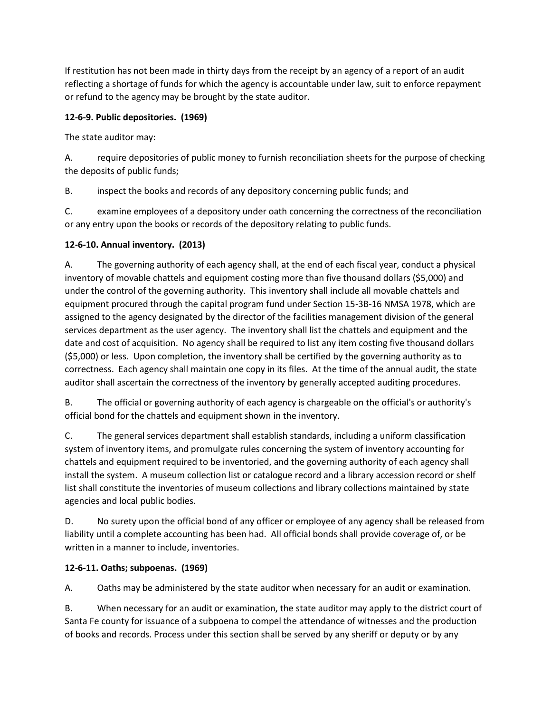If restitution has not been made in thirty days from the receipt by an agency of a report of an audit reflecting a shortage of funds for which the agency is accountable under law, suit to enforce repayment or refund to the agency may be brought by the state auditor.

## **12-6-9. Public depositories. (1969)**

The state auditor may:

A. require depositories of public money to furnish reconciliation sheets for the purpose of checking the deposits of public funds;

B. inspect the books and records of any depository concerning public funds; and

C. examine employees of a depository under oath concerning the correctness of the reconciliation or any entry upon the books or records of the depository relating to public funds.

### **12-6-10. Annual inventory. (2013)**

A. The governing authority of each agency shall, at the end of each fiscal year, conduct a physical inventory of movable chattels and equipment costing more than five thousand dollars (\$5,000) and under the control of the governing authority. This inventory shall include all movable chattels and equipment procured through the capital program fund under Section 15-3B-16 NMSA 1978, which are assigned to the agency designated by the director of the facilities management division of the general services department as the user agency. The inventory shall list the chattels and equipment and the date and cost of acquisition. No agency shall be required to list any item costing five thousand dollars (\$5,000) or less. Upon completion, the inventory shall be certified by the governing authority as to correctness. Each agency shall maintain one copy in its files. At the time of the annual audit, the state auditor shall ascertain the correctness of the inventory by generally accepted auditing procedures.

B. The official or governing authority of each agency is chargeable on the official's or authority's official bond for the chattels and equipment shown in the inventory.

C. The general services department shall establish standards, including a uniform classification system of inventory items, and promulgate rules concerning the system of inventory accounting for chattels and equipment required to be inventoried, and the governing authority of each agency shall install the system. A museum collection list or catalogue record and a library accession record or shelf list shall constitute the inventories of museum collections and library collections maintained by state agencies and local public bodies.

D. No surety upon the official bond of any officer or employee of any agency shall be released from liability until a complete accounting has been had. All official bonds shall provide coverage of, or be written in a manner to include, inventories.

### **12-6-11. Oaths; subpoenas. (1969)**

A. Oaths may be administered by the state auditor when necessary for an audit or examination.

B. When necessary for an audit or examination, the state auditor may apply to the district court of Santa Fe county for issuance of a subpoena to compel the attendance of witnesses and the production of books and records. Process under this section shall be served by any sheriff or deputy or by any